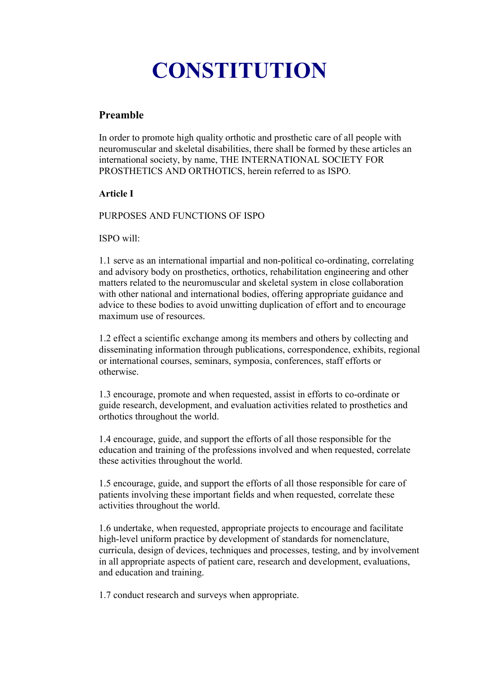# **CONSTITUTION**

# **Preamble**

In order to promote high quality orthotic and prosthetic care of all people with neuromuscular and skeletal disabilities, there shall be formed by these articles an international society, by name, THE INTERNATIONAL SOCIETY FOR PROSTHETICS AND ORTHOTICS, herein referred to as ISPO.

# **Article I**

PURPOSES AND FUNCTIONS OF ISPO

ISPO will:

1.1 serve as an international impartial and non-political co-ordinating, correlating and advisory body on prosthetics, orthotics, rehabilitation engineering and other matters related to the neuromuscular and skeletal system in close collaboration with other national and international bodies, offering appropriate guidance and advice to these bodies to avoid unwitting duplication of effort and to encourage maximum use of resources.

1.2 effect a scientific exchange among its members and others by collecting and disseminating information through publications, correspondence, exhibits, regional or international courses, seminars, symposia, conferences, staff efforts or otherwise.

1.3 encourage, promote and when requested, assist in efforts to co-ordinate or guide research, development, and evaluation activities related to prosthetics and orthotics throughout the world.

1.4 encourage, guide, and support the efforts of all those responsible for the education and training of the professions involved and when requested, correlate these activities throughout the world.

1.5 encourage, guide, and support the efforts of all those responsible for care of patients involving these important fields and when requested, correlate these activities throughout the world.

1.6 undertake, when requested, appropriate projects to encourage and facilitate high-level uniform practice by development of standards for nomenclature, curricula, design of devices, techniques and processes, testing, and by involvement in all appropriate aspects of patient care, research and development, evaluations, and education and training.

1.7 conduct research and surveys when appropriate.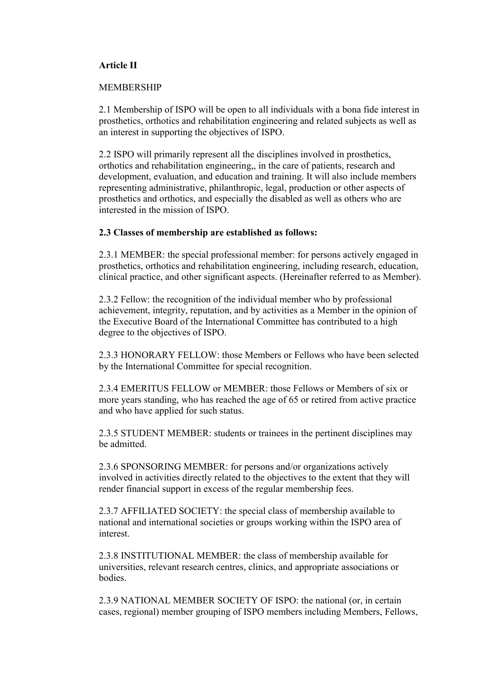#### **Article II**

#### MEMBERSHIP

2.1 Membership of ISPO will be open to all individuals with a bona fide interest in prosthetics, orthotics and rehabilitation engineering and related subjects as well as an interest in supporting the objectives of ISPO.

2.2 ISPO will primarily represent all the disciplines involved in prosthetics, orthotics and rehabilitation engineering,, in the care of patients, research and development, evaluation, and education and training. It will also include members representing administrative, philanthropic, legal, production or other aspects of prosthetics and orthotics, and especially the disabled as well as others who are interested in the mission of ISPO.

#### **2.3 Classes of membership are established as follows:**

2.3.1 MEMBER: the special professional member: for persons actively engaged in prosthetics, orthotics and rehabilitation engineering, including research, education, clinical practice, and other significant aspects. (Hereinafter referred to as Member).

2.3.2 Fellow: the recognition of the individual member who by professional achievement, integrity, reputation, and by activities as a Member in the opinion of the Executive Board of the International Committee has contributed to a high degree to the objectives of ISPO.

2.3.3 HONORARY FELLOW: those Members or Fellows who have been selected by the International Committee for special recognition.

2.3.4 EMERITUS FELLOW or MEMBER: those Fellows or Members of six or more years standing, who has reached the age of 65 or retired from active practice and who have applied for such status.

2.3.5 STUDENT MEMBER: students or trainees in the pertinent disciplines may be admitted.

2.3.6 SPONSORING MEMBER: for persons and/or organizations actively involved in activities directly related to the objectives to the extent that they will render financial support in excess of the regular membership fees.

2.3.7 AFFILIATED SOCIETY: the special class of membership available to national and international societies or groups working within the ISPO area of interest.

2.3.8 INSTITUTIONAL MEMBER: the class of membership available for universities, relevant research centres, clinics, and appropriate associations or **bodies** 

2.3.9 NATIONAL MEMBER SOCIETY OF ISPO: the national (or, in certain cases, regional) member grouping of ISPO members including Members, Fellows,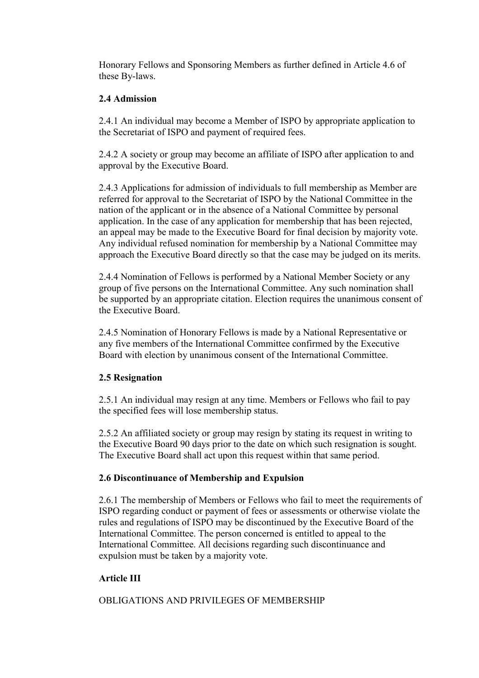Honorary Fellows and Sponsoring Members as further defined in Article 4.6 of these By-laws.

## **2.4 Admission**

2.4.1 An individual may become a Member of ISPO by appropriate application to the Secretariat of ISPO and payment of required fees.

2.4.2 A society or group may become an affiliate of ISPO after application to and approval by the Executive Board.

2.4.3 Applications for admission of individuals to full membership as Member are referred for approval to the Secretariat of ISPO by the National Committee in the nation of the applicant or in the absence of a National Committee by personal application. In the case of any application for membership that has been rejected, an appeal may be made to the Executive Board for final decision by majority vote. Any individual refused nomination for membership by a National Committee may approach the Executive Board directly so that the case may be judged on its merits.

2.4.4 Nomination of Fellows is performed by a National Member Society or any group of five persons on the International Committee. Any such nomination shall be supported by an appropriate citation. Election requires the unanimous consent of the Executive Board.

2.4.5 Nomination of Honorary Fellows is made by a National Representative or any five members of the International Committee confirmed by the Executive Board with election by unanimous consent of the International Committee.

## **2.5 Resignation**

2.5.1 An individual may resign at any time. Members or Fellows who fail to pay the specified fees will lose membership status.

2.5.2 An affiliated society or group may resign by stating its request in writing to the Executive Board 90 days prior to the date on which such resignation is sought. The Executive Board shall act upon this request within that same period.

## **2.6 Discontinuance of Membership and Expulsion**

2.6.1 The membership of Members or Fellows who fail to meet the requirements of ISPO regarding conduct or payment of fees or assessments or otherwise violate the rules and regulations of ISPO may be discontinued by the Executive Board of the International Committee. The person concerned is entitled to appeal to the International Committee. All decisions regarding such discontinuance and expulsion must be taken by a majority vote.

## **Article III**

OBLIGATIONS AND PRIVILEGES OF MEMBERSHIP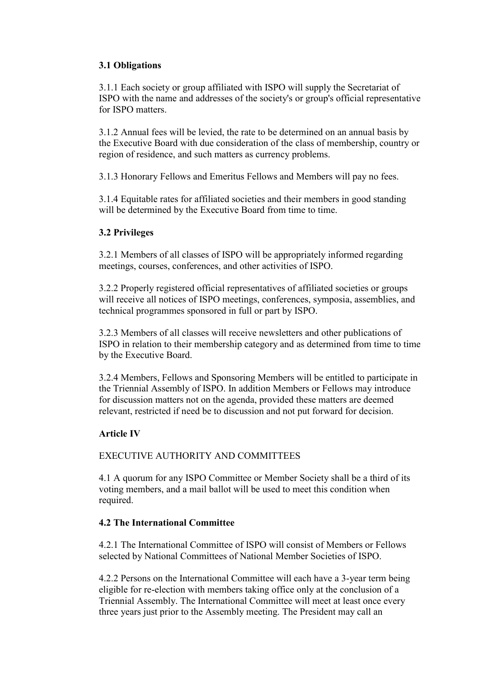## **3.1 Obligations**

3.1.1 Each society or group affiliated with ISPO will supply the Secretariat of ISPO with the name and addresses of the society's or group's official representative for ISPO matters.

3.1.2 Annual fees will be levied, the rate to be determined on an annual basis by the Executive Board with due consideration of the class of membership, country or region of residence, and such matters as currency problems.

3.1.3 Honorary Fellows and Emeritus Fellows and Members will pay no fees.

3.1.4 Equitable rates for affiliated societies and their members in good standing will be determined by the Executive Board from time to time.

# **3.2 Privileges**

3.2.1 Members of all classes of ISPO will be appropriately informed regarding meetings, courses, conferences, and other activities of ISPO.

3.2.2 Properly registered official representatives of affiliated societies or groups will receive all notices of ISPO meetings, conferences, symposia, assemblies, and technical programmes sponsored in full or part by ISPO.

3.2.3 Members of all classes will receive newsletters and other publications of ISPO in relation to their membership category and as determined from time to time by the Executive Board.

3.2.4 Members, Fellows and Sponsoring Members will be entitled to participate in the Triennial Assembly of ISPO. In addition Members or Fellows may introduce for discussion matters not on the agenda, provided these matters are deemed relevant, restricted if need be to discussion and not put forward for decision.

## **Article IV**

## EXECUTIVE AUTHORITY AND COMMITTEES

4.1 A quorum for any ISPO Committee or Member Society shall be a third of its voting members, and a mail ballot will be used to meet this condition when required.

## **4.2 The International Committee**

4.2.1 The International Committee of ISPO will consist of Members or Fellows selected by National Committees of National Member Societies of ISPO.

4.2.2 Persons on the International Committee will each have a 3-year term being eligible for re-election with members taking office only at the conclusion of a Triennial Assembly. The International Committee will meet at least once every three years just prior to the Assembly meeting. The President may call an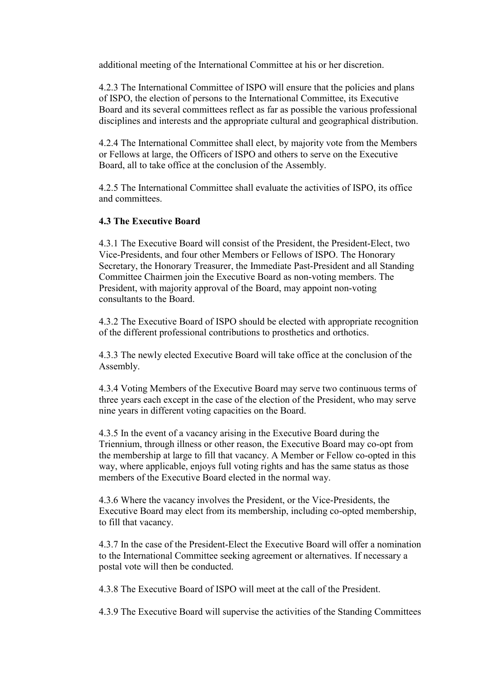additional meeting of the International Committee at his or her discretion.

4.2.3 The International Committee of ISPO will ensure that the policies and plans of ISPO, the election of persons to the International Committee, its Executive Board and its several committees reflect as far as possible the various professional disciplines and interests and the appropriate cultural and geographical distribution.

4.2.4 The International Committee shall elect, by majority vote from the Members or Fellows at large, the Officers of ISPO and others to serve on the Executive Board, all to take office at the conclusion of the Assembly.

4.2.5 The International Committee shall evaluate the activities of ISPO, its office and committees.

## **4.3 The Executive Board**

4.3.1 The Executive Board will consist of the President, the President-Elect, two Vice-Presidents, and four other Members or Fellows of ISPO. The Honorary Secretary, the Honorary Treasurer, the Immediate Past-President and all Standing Committee Chairmen join the Executive Board as non-voting members. The President, with majority approval of the Board, may appoint non-voting consultants to the Board.

4.3.2 The Executive Board of ISPO should be elected with appropriate recognition of the different professional contributions to prosthetics and orthotics.

4.3.3 The newly elected Executive Board will take office at the conclusion of the Assembly.

4.3.4 Voting Members of the Executive Board may serve two continuous terms of three years each except in the case of the election of the President, who may serve nine years in different voting capacities on the Board.

4.3.5 In the event of a vacancy arising in the Executive Board during the Triennium, through illness or other reason, the Executive Board may co-opt from the membership at large to fill that vacancy. A Member or Fellow co-opted in this way, where applicable, enjoys full voting rights and has the same status as those members of the Executive Board elected in the normal way.

4.3.6 Where the vacancy involves the President, or the Vice-Presidents, the Executive Board may elect from its membership, including co-opted membership, to fill that vacancy.

4.3.7 In the case of the President-Elect the Executive Board will offer a nomination to the International Committee seeking agreement or alternatives. If necessary a postal vote will then be conducted.

4.3.8 The Executive Board of ISPO will meet at the call of the President.

4.3.9 The Executive Board will supervise the activities of the Standing Committees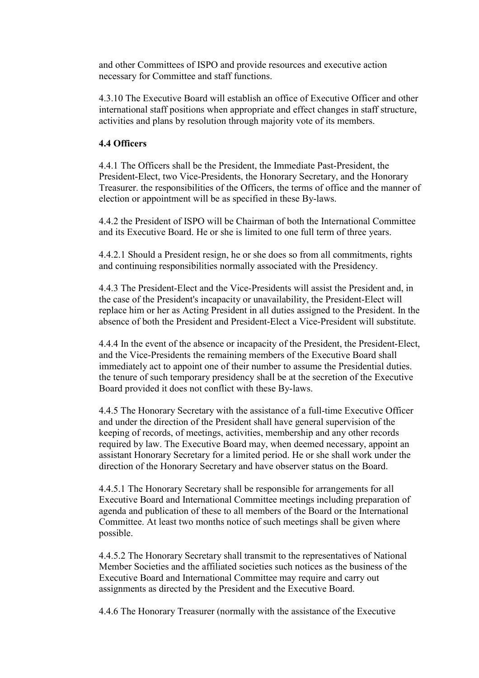and other Committees of ISPO and provide resources and executive action necessary for Committee and staff functions.

4.3.10 The Executive Board will establish an office of Executive Officer and other international staff positions when appropriate and effect changes in staff structure, activities and plans by resolution through majority vote of its members.

#### **4.4 Officers**

4.4.1 The Officers shall be the President, the Immediate Past-President, the President-Elect, two Vice-Presidents, the Honorary Secretary, and the Honorary Treasurer. the responsibilities of the Officers, the terms of office and the manner of election or appointment will be as specified in these By-laws.

4.4.2 the President of ISPO will be Chairman of both the International Committee and its Executive Board. He or she is limited to one full term of three years.

4.4.2.1 Should a President resign, he or she does so from all commitments, rights and continuing responsibilities normally associated with the Presidency.

4.4.3 The President-Elect and the Vice-Presidents will assist the President and, in the case of the President's incapacity or unavailability, the President-Elect will replace him or her as Acting President in all duties assigned to the President. In the absence of both the President and President-Elect a Vice-President will substitute.

4.4.4 In the event of the absence or incapacity of the President, the President-Elect, and the Vice-Presidents the remaining members of the Executive Board shall immediately act to appoint one of their number to assume the Presidential duties. the tenure of such temporary presidency shall be at the secretion of the Executive Board provided it does not conflict with these By-laws.

4.4.5 The Honorary Secretary with the assistance of a full-time Executive Officer and under the direction of the President shall have general supervision of the keeping of records, of meetings, activities, membership and any other records required by law. The Executive Board may, when deemed necessary, appoint an assistant Honorary Secretary for a limited period. He or she shall work under the direction of the Honorary Secretary and have observer status on the Board.

4.4.5.1 The Honorary Secretary shall be responsible for arrangements for all Executive Board and International Committee meetings including preparation of agenda and publication of these to all members of the Board or the International Committee. At least two months notice of such meetings shall be given where possible.

4.4.5.2 The Honorary Secretary shall transmit to the representatives of National Member Societies and the affiliated societies such notices as the business of the Executive Board and International Committee may require and carry out assignments as directed by the President and the Executive Board.

4.4.6 The Honorary Treasurer (normally with the assistance of the Executive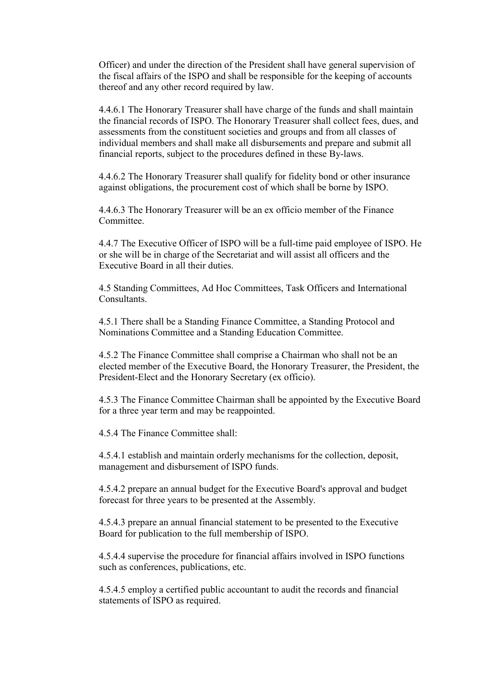Officer) and under the direction of the President shall have general supervision of the fiscal affairs of the ISPO and shall be responsible for the keeping of accounts thereof and any other record required by law.

4.4.6.1 The Honorary Treasurer shall have charge of the funds and shall maintain the financial records of ISPO. The Honorary Treasurer shall collect fees, dues, and assessments from the constituent societies and groups and from all classes of individual members and shall make all disbursements and prepare and submit all financial reports, subject to the procedures defined in these By-laws.

4.4.6.2 The Honorary Treasurer shall qualify for fidelity bond or other insurance against obligations, the procurement cost of which shall be borne by ISPO.

4.4.6.3 The Honorary Treasurer will be an ex officio member of the Finance Committee.

4.4.7 The Executive Officer of ISPO will be a full-time paid employee of ISPO. He or she will be in charge of the Secretariat and will assist all officers and the Executive Board in all their duties.

4.5 Standing Committees, Ad Hoc Committees, Task Officers and International **Consultants** 

4.5.1 There shall be a Standing Finance Committee, a Standing Protocol and Nominations Committee and a Standing Education Committee.

4.5.2 The Finance Committee shall comprise a Chairman who shall not be an elected member of the Executive Board, the Honorary Treasurer, the President, the President-Elect and the Honorary Secretary (ex officio).

4.5.3 The Finance Committee Chairman shall be appointed by the Executive Board for a three year term and may be reappointed.

4.5.4 The Finance Committee shall:

4.5.4.1 establish and maintain orderly mechanisms for the collection, deposit, management and disbursement of ISPO funds.

4.5.4.2 prepare an annual budget for the Executive Board's approval and budget forecast for three years to be presented at the Assembly.

4.5.4.3 prepare an annual financial statement to be presented to the Executive Board for publication to the full membership of ISPO.

4.5.4.4 supervise the procedure for financial affairs involved in ISPO functions such as conferences, publications, etc.

4.5.4.5 employ a certified public accountant to audit the records and financial statements of ISPO as required.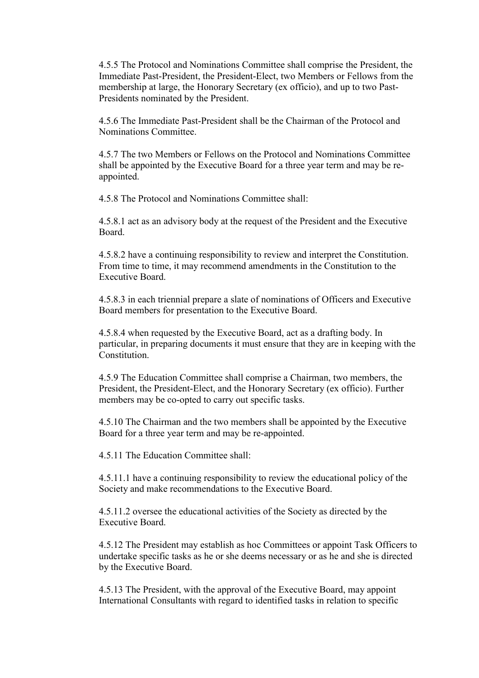4.5.5 The Protocol and Nominations Committee shall comprise the President, the Immediate Past-President, the President-Elect, two Members or Fellows from the membership at large, the Honorary Secretary (ex officio), and up to two Past-Presidents nominated by the President.

4.5.6 The Immediate Past-President shall be the Chairman of the Protocol and Nominations Committee.

4.5.7 The two Members or Fellows on the Protocol and Nominations Committee shall be appointed by the Executive Board for a three year term and may be reappointed.

4.5.8 The Protocol and Nominations Committee shall:

4.5.8.1 act as an advisory body at the request of the President and the Executive Board.

4.5.8.2 have a continuing responsibility to review and interpret the Constitution. From time to time, it may recommend amendments in the Constitution to the Executive Board.

4.5.8.3 in each triennial prepare a slate of nominations of Officers and Executive Board members for presentation to the Executive Board.

4.5.8.4 when requested by the Executive Board, act as a drafting body. In particular, in preparing documents it must ensure that they are in keeping with the Constitution.

4.5.9 The Education Committee shall comprise a Chairman, two members, the President, the President-Elect, and the Honorary Secretary (ex officio). Further members may be co-opted to carry out specific tasks.

4.5.10 The Chairman and the two members shall be appointed by the Executive Board for a three year term and may be re-appointed.

4.5.11 The Education Committee shall:

4.5.11.1 have a continuing responsibility to review the educational policy of the Society and make recommendations to the Executive Board.

4.5.11.2 oversee the educational activities of the Society as directed by the Executive Board.

4.5.12 The President may establish as hoc Committees or appoint Task Officers to undertake specific tasks as he or she deems necessary or as he and she is directed by the Executive Board.

4.5.13 The President, with the approval of the Executive Board, may appoint International Consultants with regard to identified tasks in relation to specific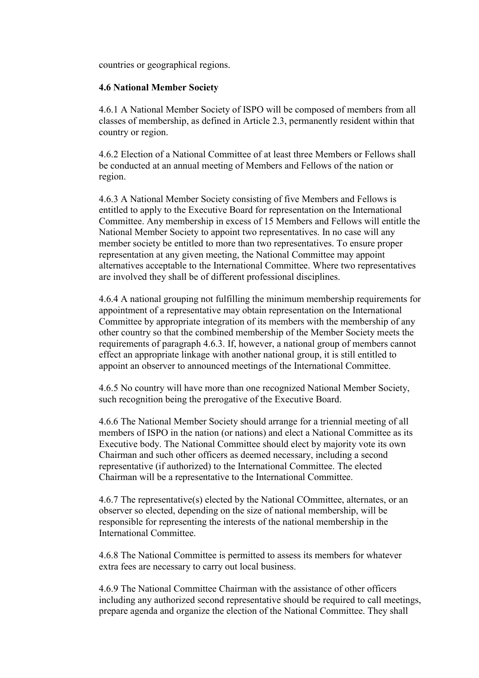countries or geographical regions.

#### **4.6 National Member Society**

4.6.1 A National Member Society of ISPO will be composed of members from all classes of membership, as defined in Article 2.3, permanently resident within that country or region.

4.6.2 Election of a National Committee of at least three Members or Fellows shall be conducted at an annual meeting of Members and Fellows of the nation or region.

4.6.3 A National Member Society consisting of five Members and Fellows is entitled to apply to the Executive Board for representation on the International Committee. Any membership in excess of 15 Members and Fellows will entitle the National Member Society to appoint two representatives. In no case will any member society be entitled to more than two representatives. To ensure proper representation at any given meeting, the National Committee may appoint alternatives acceptable to the International Committee. Where two representatives are involved they shall be of different professional disciplines.

4.6.4 A national grouping not fulfilling the minimum membership requirements for appointment of a representative may obtain representation on the International Committee by appropriate integration of its members with the membership of any other country so that the combined membership of the Member Society meets the requirements of paragraph 4.6.3. If, however, a national group of members cannot effect an appropriate linkage with another national group, it is still entitled to appoint an observer to announced meetings of the International Committee.

4.6.5 No country will have more than one recognized National Member Society, such recognition being the prerogative of the Executive Board.

4.6.6 The National Member Society should arrange for a triennial meeting of all members of ISPO in the nation (or nations) and elect a National Committee as its Executive body. The National Committee should elect by majority vote its own Chairman and such other officers as deemed necessary, including a second representative (if authorized) to the International Committee. The elected Chairman will be a representative to the International Committee.

4.6.7 The representative(s) elected by the National COmmittee, alternates, or an observer so elected, depending on the size of national membership, will be responsible for representing the interests of the national membership in the International Committee.

4.6.8 The National Committee is permitted to assess its members for whatever extra fees are necessary to carry out local business.

4.6.9 The National Committee Chairman with the assistance of other officers including any authorized second representative should be required to call meetings, prepare agenda and organize the election of the National Committee. They shall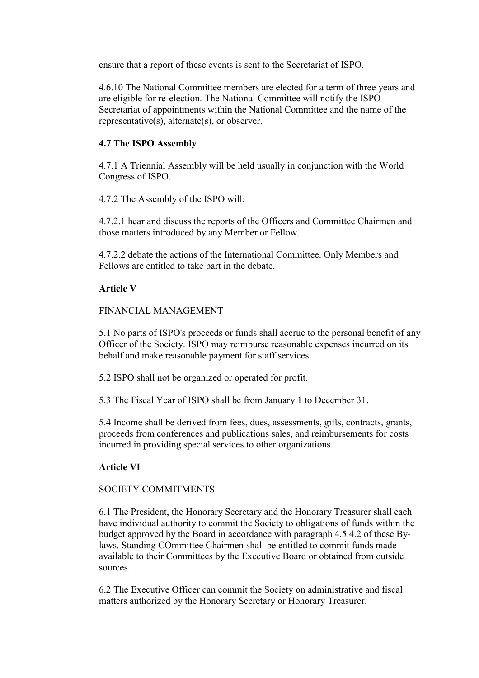ensure that a report of these events is sent to the Secretariat of ISPO.

4.6.10 The National Committee members are elected for a term of three years and are eligible for re-election. The National Committee will notify the ISPO Secretariat of appointments within the National Committee and the name of the representative(s), alternate(s), or observer.

# **4.7 The ISPO Assembly**

4.7.1 A Triennial Assembly will be held usually in conjunction with the World Congress of ISPO.

4.7.2 The Assembly of the ISPO will:

4.7.2.1 hear and discuss the reports of the Officers and Committee Chairmen and those matters introduced by any Member or Fellow.

4.7.2.2 debate the actions of the International Committee. Only Members and Fellows are entitled to take part in the debate.

# **Article V**

## FINANCIAL MANAGEMENT

5.1 No parts of ISPO's proceeds or funds shall accrue to the personal benefit of any Officer of the Society. ISPO may reimburse reasonable expenses incurred on its behalf and make reasonable payment for staff services.

5.2 ISPO shall not be organized or operated for profit.

5.3 The Fiscal Year of ISPO shall be from January 1 to December 31.

5.4 Income shall be derived from fees, dues, assessments, gifts, contracts, grants, proceeds from conferences and publications sales, and reimbursements for costs incurred in providing special services to other organizations.

# **Article VI**

## SOCIETY COMMITMENTS

6.1 The President, the Honorary Secretary and the Honorary Treasurer shall each have individual authority to commit the Society to obligations of funds within the budget approved by the Board in accordance with paragraph 4.5.4.2 of these Bylaws. Standing COmmittee Chairmen shall be entitled to commit funds made available to their Committees by the Executive Board or obtained from outside sources.

6.2 The Executive Officer can commit the Society on administrative and fiscal matters authorized by the Honorary Secretary or Honorary Treasurer.